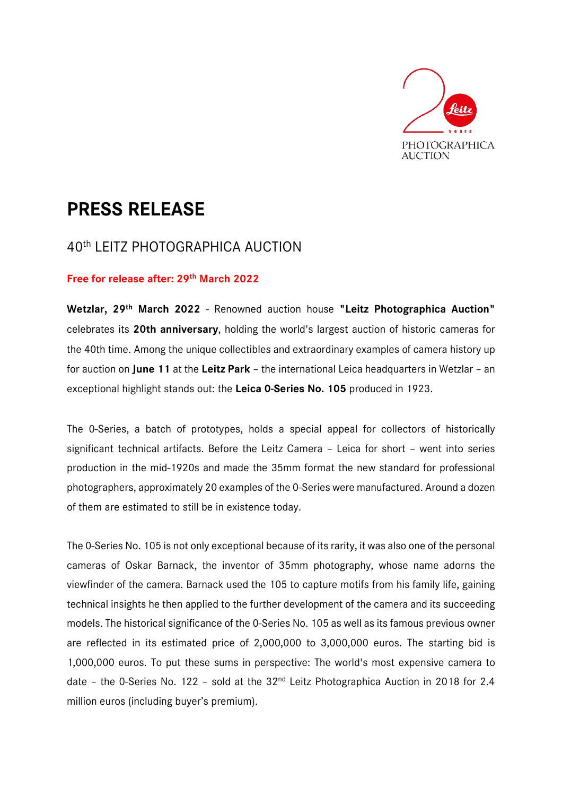

# **PRESS RELEASE**

# 40th LEITZ PHOTOGRAPHICA AUCTION

## **Free for release after: 29th March 2022**

**Wetzlar, 29th March 2022** - Renowned auction house **"Leitz Photographica Auction"**  celebrates its **20th anniversary**, holding the world's largest auction of historic cameras for the 40th time. Among the unique collectibles and extraordinary examples of camera history up for auction on **June 11** at the **Leitz Park** – the international Leica headquarters in Wetzlar – an exceptional highlight stands out: the **Leica 0-Series No. 105** produced in 1923.

The 0-Series, a batch of prototypes, holds a special appeal for collectors of historically significant technical artifacts. Before the Leitz Camera – Leica for short – went into series production in the mid-1920s and made the 35mm format the new standard for professional photographers, approximately 20 examples of the 0-Series were manufactured. Around a dozen of them are estimated to still be in existence today.

The 0-Series No. 105 is not only exceptional because of its rarity, it was also one of the personal cameras of Oskar Barnack, the inventor of 35mm photography, whose name adorns the viewfinder of the camera. Barnack used the 105 to capture motifs from his family life, gaining technical insights he then applied to the further development of the camera and its succeeding models. The historical significance of the 0-Series No. 105 as well as its famous previous owner are reflected in its estimated price of 2,000,000 to 3,000,000 euros. The starting bid is 1,000,000 euros. To put these sums in perspective: The world's most expensive camera to date - the 0-Series No. 122 - sold at the 32<sup>nd</sup> Leitz Photographica Auction in 2018 for 2.4 million euros (including buyer's premium).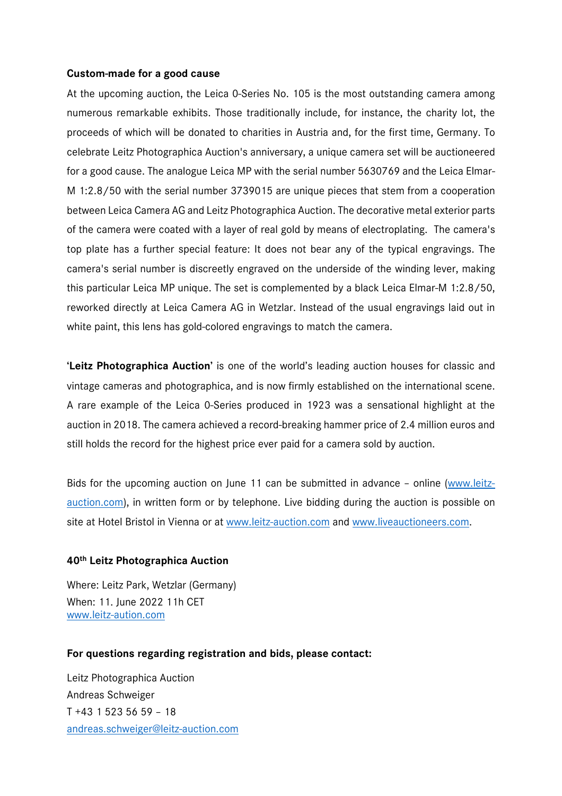#### **Custom-made for a good cause**

At the upcoming auction, the Leica 0-Series No. 105 is the most outstanding camera among numerous remarkable exhibits. Those traditionally include, for instance, the charity lot, the proceeds of which will be donated to charities in Austria and, for the first time, Germany. To celebrate Leitz Photographica Auction's anniversary, a unique camera set will be auctioneered for a good cause. The analogue Leica MP with the serial number 5630769 and the Leica Elmar-M 1:2.8/50 with the serial number 3739015 are unique pieces that stem from a cooperation between Leica Camera AG and Leitz Photographica Auction. The decorative metal exterior parts of the camera were coated with a layer of real gold by means of electroplating. The camera's top plate has a further special feature: It does not bear any of the typical engravings. The camera's serial number is discreetly engraved on the underside of the winding lever, making this particular Leica MP unique. The set is complemented by a black Leica Elmar-M 1:2.8/50, reworked directly at Leica Camera AG in Wetzlar. Instead of the usual engravings laid out in white paint, this lens has gold-colored engravings to match the camera.

**'Leitz Photographica Auction'** is one of the world's leading auction houses for classic and vintage cameras and photographica, and is now firmly established on the international scene. A rare example of the Leica 0-Series produced in 1923 was a sensational highlight at the auction in 2018. The camera achieved a record-breaking hammer price of 2.4 million euros and still holds the record for the highest price ever paid for a camera sold by auction.

Bids for the upcoming auction on June 11 can be submitted in advance – online (www.leitzauction.com), in written form or by telephone. Live bidding during the auction is possible on site at Hotel Bristol in Vienna or at www.leitz-auction.com and www.liveauctioneers.com.

## **40th Leitz Photographica Auction**

Where: Leitz Park, Wetzlar (Germany) When: 11. June 2022 11h CET www.leitz-aution.com

## **For questions regarding registration and bids, please contact:**

Leitz Photographica Auction Andreas Schweiger T +43 1 523 56 59 – 18 andreas.schweiger@leitz-auction.com